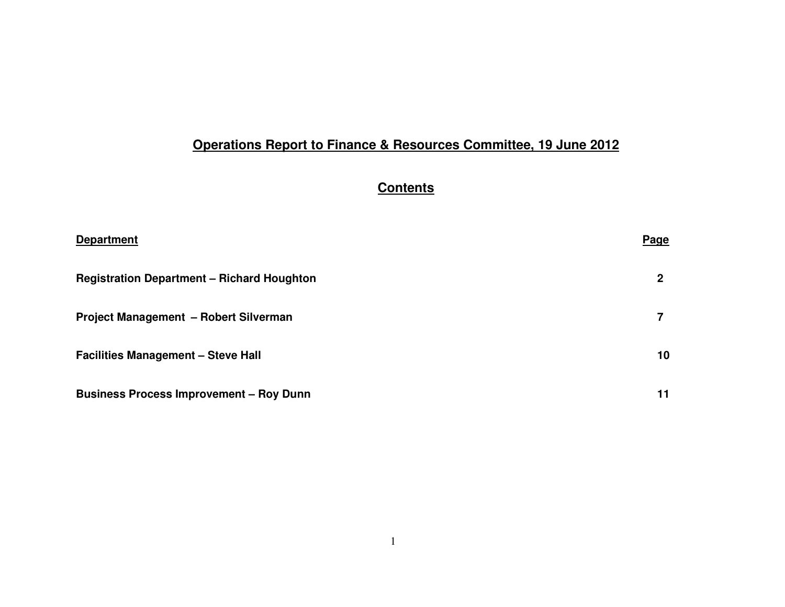# **Operations Report to Finance & Resources Committee, 19 June 2012**

# **Contents**

| <b>Department</b>                                 | <u>Page</u>     |
|---------------------------------------------------|-----------------|
| <b>Registration Department - Richard Houghton</b> | 2               |
| Project Management - Robert Silverman             |                 |
| <b>Facilities Management - Steve Hall</b>         | 10 <sup>1</sup> |
| <b>Business Process Improvement - Roy Dunn</b>    | 11              |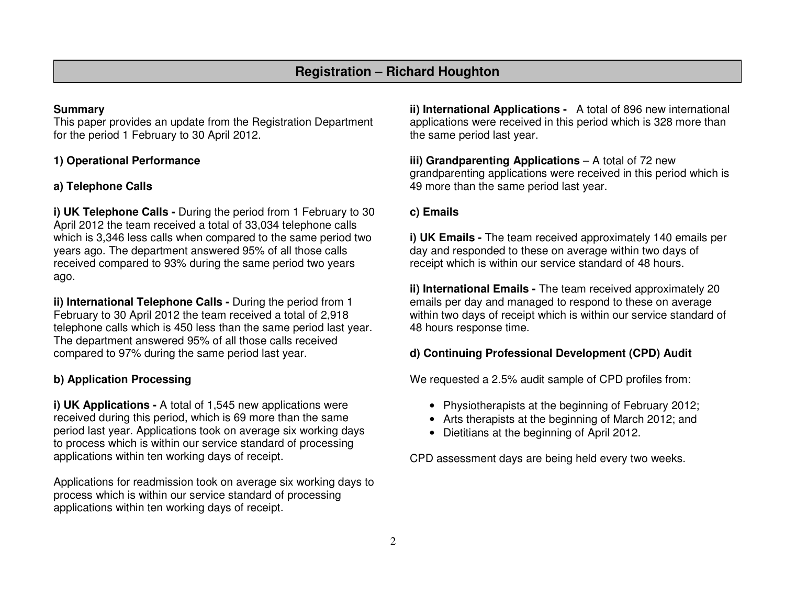## **Summary**

 This paper provides an update from the Registration Department for the period 1 February to 30 April 2012.

## **1) Operational Performance**

## **a) Telephone Calls**

**i) UK Telephone Calls -** During the period from 1 February to 30 April 2012 the team received a total of 33,034 telephone calls which is 3,346 less calls when compared to the same period two years ago. The department answered 95% of all those calls received compared to 93% during the same period two years ago.

**ii) International Telephone Calls -** During the period from 1 February to 30 April 2012 the team received a total of 2,918 telephone calls which is 450 less than the same period last year. The department answered 95% of all those calls received compared to 97% during the same period last year.

## **b) Application Processing**

**i) UK Applications - A total of 1,545 new applications were**  received during this period, which is 69 more than the same period last year. Applications took on average six working days to process which is within our service standard of processing applications within ten working days of receipt.

Applications for readmission took on average six working days to process which is within our service standard of processing applications within ten working days of receipt.

**ii) International Applications -** A total of 896 new international applications were received in this period which is 328 more than the same period last year.

**iii) Grandparenting Applications** – A total of 72 new grandparenting applications were received in this period which is 49 more than the same period last year.

## **c) Emails**

**i) UK Emails -** The team received approximately 140 emails per day and responded to these on average within two days of receipt which is within our service standard of 48 hours.

**ii) International Emails -** The team received approximately 20 emails per day and managed to respond to these on average within two days of receipt which is within our service standard of 48 hours response time.

## **d) Continuing Professional Development (CPD) Audit**

We requested a 2.5% audit sample of CPD profiles from:

- Physiotherapists at the beginning of February 2012;
- Arts therapists at the beginning of March 2012; and
- Dietitians at the beginning of April 2012.

CPD assessment days are being held every two weeks.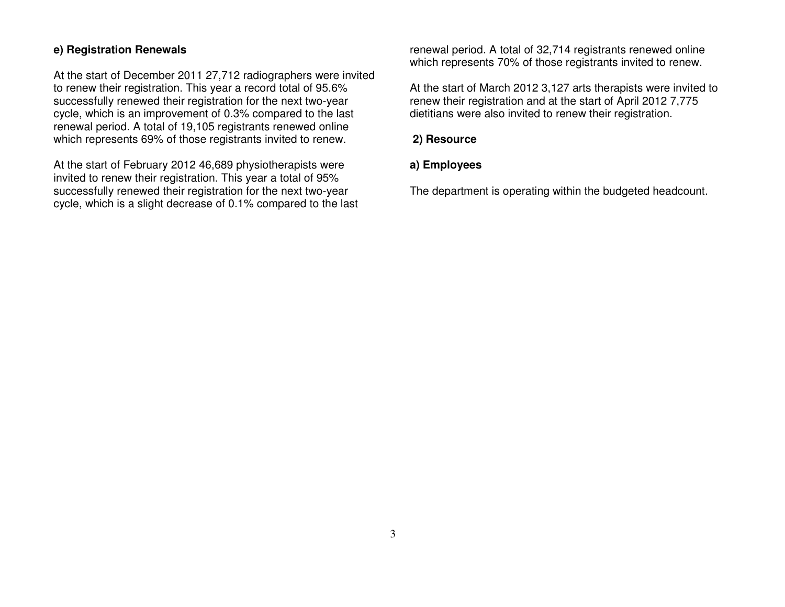## **e) Registration Renewals**

At the start of December 2011 27,712 radiographers were invited to renew their registration. This year a record total of 95.6% successfully renewed their registration for the next two-year cycle, which is an improvement of 0.3% compared to the last renewal period. A total of 19,105 registrants renewed online which represents 69% of those registrants invited to renew.

At the start of February 2012 46,689 physiotherapists were invited to renew their registration. This year a total of 95% successfully renewed their registration for the next two-year cycle, which is a slight decrease of 0.1% compared to the last renewal period. A total of 32,714 registrants renewed online which represents 70% of those registrants invited to renew.

At the start of March 2012 3,127 arts therapists were invited to renew their registration and at the start of April 2012 7,775 dietitians were also invited to renew their registration.

## **2) Resource**

## **a) Employees**

The department is operating within the budgeted headcount.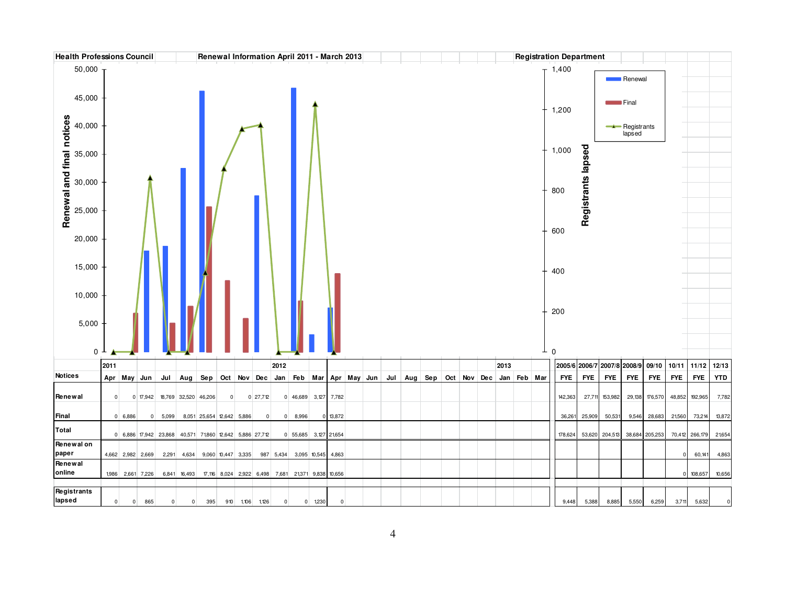| <b>Health Professions Council</b>   |                |                   |                |                                                         |                |                           |                    |                 |                |                 | Renewal Information April 2011 - March 2013        |             |             |                     |                                     |  |  |      |   | <b>Registration Department</b> |                    |                |                       |                |                 |                |             |
|-------------------------------------|----------------|-------------------|----------------|---------------------------------------------------------|----------------|---------------------------|--------------------|-----------------|----------------|-----------------|----------------------------------------------------|-------------|-------------|---------------------|-------------------------------------|--|--|------|---|--------------------------------|--------------------|----------------|-----------------------|----------------|-----------------|----------------|-------------|
| 50,000                              |                |                   |                |                                                         |                |                           |                    |                 |                |                 |                                                    |             |             |                     |                                     |  |  |      |   | $T$ 1,400                      |                    |                | Renewal               |                |                 |                |             |
| 45,000                              |                |                   |                |                                                         |                |                           |                    |                 |                |                 |                                                    |             |             |                     |                                     |  |  |      |   | 1,200                          |                    |                | <b>Final</b>          |                |                 |                |             |
| 40,000                              |                |                   |                |                                                         |                |                           |                    |                 |                |                 |                                                    |             |             |                     |                                     |  |  |      |   |                                |                    |                | Registrants<br>lapsed |                |                 |                |             |
| 35,000                              |                |                   |                |                                                         |                |                           |                    |                 |                |                 |                                                    |             |             |                     |                                     |  |  |      |   | 1,000                          |                    |                |                       |                |                 |                |             |
| Renewal and final notices<br>30,000 |                |                   |                |                                                         |                |                           |                    |                 |                |                 |                                                    |             |             |                     |                                     |  |  |      |   | 800                            | Registrants lapsed |                |                       |                |                 |                |             |
| 25,000                              |                |                   |                |                                                         |                |                           |                    |                 |                |                 |                                                    |             |             |                     |                                     |  |  |      |   | 600                            |                    |                |                       |                |                 |                |             |
| 20,000                              |                |                   |                |                                                         |                |                           |                    |                 |                |                 |                                                    |             |             |                     |                                     |  |  |      |   |                                |                    |                |                       |                |                 |                |             |
| 15,000                              |                |                   |                |                                                         |                |                           |                    |                 |                |                 |                                                    |             |             |                     |                                     |  |  |      |   | 400                            |                    |                |                       |                |                 |                |             |
| 10,000                              |                |                   |                |                                                         |                |                           |                    |                 |                |                 |                                                    |             |             |                     |                                     |  |  |      |   |                                |                    |                |                       |                |                 |                |             |
| 5,000                               |                |                   |                |                                                         |                |                           |                    |                 |                |                 |                                                    |             |             |                     |                                     |  |  |      |   | 200                            |                    |                |                       |                |                 |                |             |
|                                     |                |                   |                |                                                         |                |                           |                    |                 |                |                 |                                                    |             |             |                     |                                     |  |  |      |   |                                |                    |                |                       |                |                 |                |             |
| $0-1$                               |                |                   |                |                                                         |                |                           |                    |                 |                |                 |                                                    |             |             |                     |                                     |  |  |      | ┹ | $\mathbf 0$                    |                    |                |                       |                |                 |                |             |
| <b>Notices</b>                      | 2011           |                   |                |                                                         |                |                           |                    |                 |                | 2012            |                                                    |             |             |                     |                                     |  |  | 2013 |   | 2005/6 2006/7 2007/8 2008/9    |                    |                |                       | 09/10          | $10/11$ $11/12$ |                | 12/13       |
|                                     |                | Apr May Jun       |                | Jul                                                     | Aug            | Sep                       |                    |                 |                | Oct Nov Dec Jan |                                                    |             |             | Feb Mar Apr May Jun | Jul Aug Sep Oct Nov Dec Jan Feb Mar |  |  |      |   | <b>FYE</b>                     | <b>FYE</b>         | <b>FYE</b>     | <b>FYE</b>            | <b>FYE</b>     | <b>FYE</b>      | <b>FYE</b>     | <b>YTD</b>  |
| Renewal                             | $\overline{0}$ |                   |                | 0 17,942 18,769 32,520 46,206                           |                |                           | $\overline{0}$     |                 | $0$ 27,712     |                 | 0 46,689 3,127 7,782                               |             |             |                     |                                     |  |  |      |   | 142,363                        | 27,711             | 153,982        | 29,138                | 176,570        | 48,852          | 192,965        | 7,782       |
| Final                               |                | 0 6,886           | $\overline{0}$ | 5,099                                                   |                | 8,051 25,654 12,642 5,886 |                    |                 | $\overline{0}$ |                 | 0 8,996                                            |             | $0$ 13,872  |                     |                                     |  |  |      |   | 36,261                         | 25,909             | 50,531         | 9,546                 | 28,683         | 21,560          | 73,214         | 13,872      |
| Total                               |                |                   |                |                                                         |                |                           |                    |                 |                |                 |                                                    |             |             |                     |                                     |  |  |      |   |                                |                    |                |                       |                |                 |                |             |
| Renewal on                          |                |                   |                | 0 6,886 17,942 23,868 40,571 71,860 12,642 5,886 27,712 |                |                           |                    |                 |                |                 | 0 55,685 3,127 21,654                              |             |             |                     |                                     |  |  |      |   | 178,624                        |                    | 53,620 204,513 |                       | 38,684 205,253 |                 | 70,412 266,179 | 21,654      |
| paper                               |                | 4,662 2,982 2,669 |                |                                                         | 2,291 4,634    |                           | 9,060 10,447 3,335 |                 |                |                 | 987 5,434 3,095 10,545                             |             | 4,863       |                     |                                     |  |  |      |   |                                |                    |                |                       |                |                 | 60,141         | 4,863       |
| Renewal<br>online                   |                | 1,986 2,661 7,226 |                |                                                         | 6,841 16,493   |                           |                    |                 |                |                 | 17,116 8,024 2,922 6,498 7,681 21,371 9,838 10,656 |             |             |                     |                                     |  |  |      |   |                                |                    |                |                       |                |                 | 108,657        | 10,656      |
| Registrants<br>lapsed               | $\mathbf{0}$   | $\overline{0}$    | 865            | $\overline{0}$                                          | $\overline{0}$ | 395                       |                    | 910 1,106 1,126 |                | $\overline{0}$  |                                                    | $0 - 1,230$ | $\mathbf 0$ |                     |                                     |  |  |      |   | 9,448                          | 5,388              | 8,885          | 5,550                 | 6,259          | 3,711           | 5,632          | $\mathsf 0$ |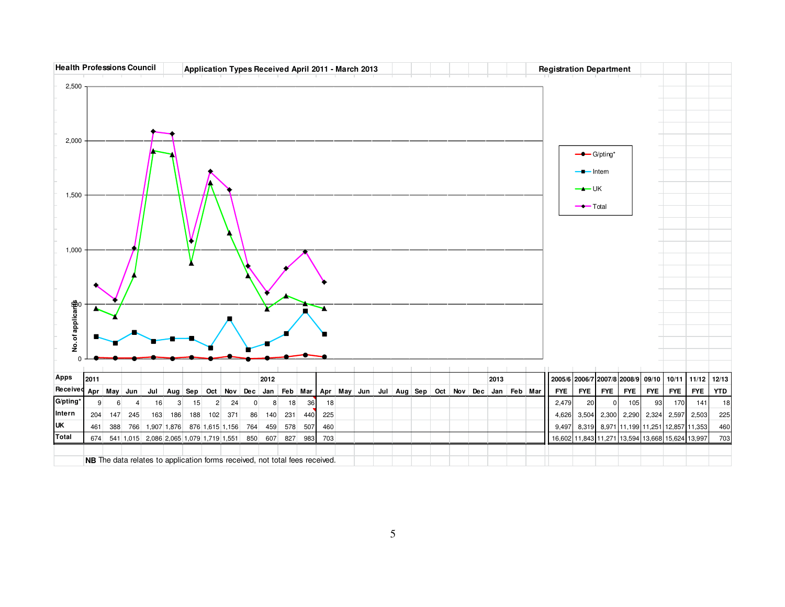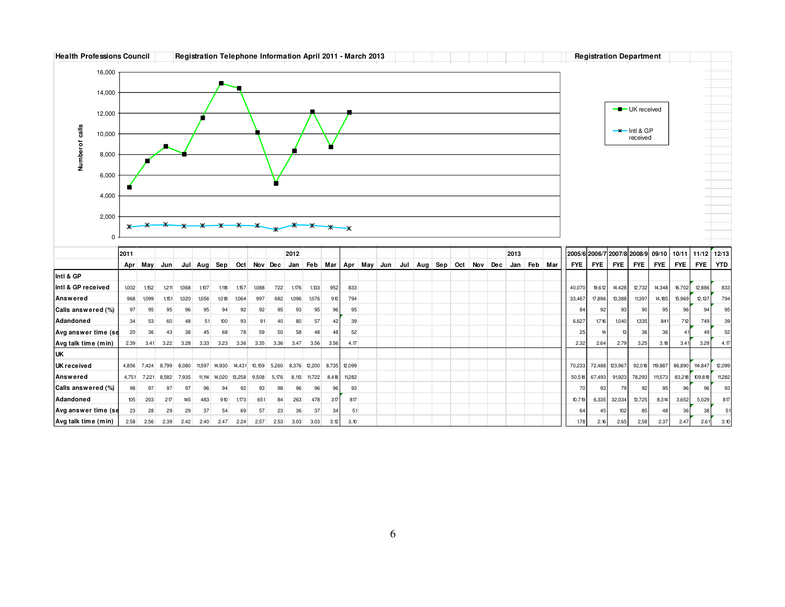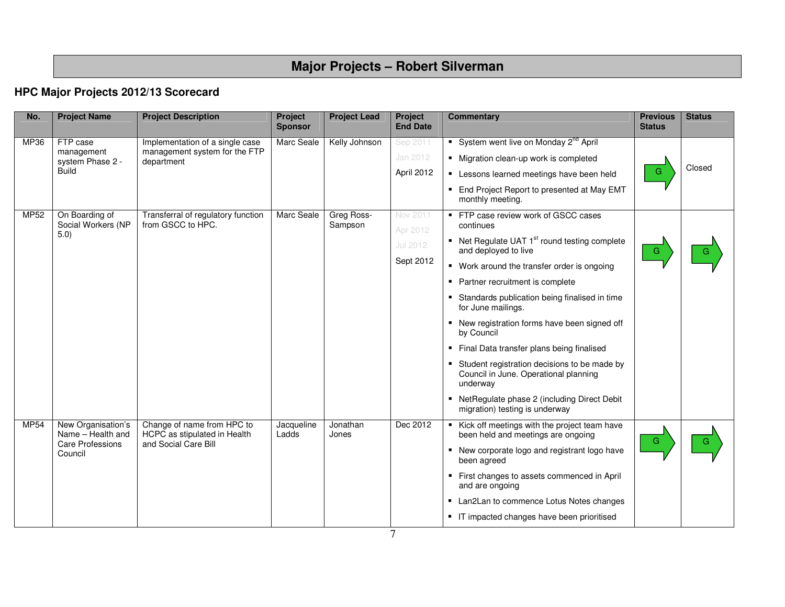# **Major Projects – Robert Silverman**

## **HPC Major Projects 2012/13 Scorecard**

| No.                            | <b>Project Name</b>                     | <b>Project Description</b>                                 | Project<br><b>Sponsor</b> | <b>Project Lead</b>   | Project<br><b>End Date</b> | <b>Commentary</b>                                                                                 | <b>Previous</b><br><b>Status</b> | <b>Status</b> |
|--------------------------------|-----------------------------------------|------------------------------------------------------------|---------------------------|-----------------------|----------------------------|---------------------------------------------------------------------------------------------------|----------------------------------|---------------|
| MP36                           | FTP case                                | Implementation of a single case                            | Marc Seale                | Kelly Johnson         | Sep 2011                   | System went live on Monday 2 <sup>nd</sup> April                                                  |                                  |               |
| management<br>system Phase 2 - |                                         | management system for the FTP<br>department                |                           |                       | Jan 2012                   | • Migration clean-up work is completed                                                            |                                  |               |
|                                | <b>Build</b>                            |                                                            |                           |                       | April 2012                 | • Lessons learned meetings have been held                                                         | G                                | Closed        |
|                                |                                         |                                                            |                           |                       |                            | • End Project Report to presented at May EMT<br>monthly meeting.                                  |                                  |               |
| MP52                           | On Boarding of<br>Social Workers (NP    | Transferral of regulatory function<br>from GSCC to HPC.    | Marc Seale                | Greg Ross-<br>Sampson | Nov 2011<br>Apr 2012       | ■ FTP case review work of GSCC cases<br>continues                                                 |                                  |               |
|                                | 5.0)                                    |                                                            |                           |                       | <b>Jul 2012</b>            | ■ Net Regulate UAT 1 <sup>st</sup> round testing complete<br>and deployed to live                 | G                                |               |
|                                |                                         |                                                            |                           |                       | Sept 2012                  | • Work around the transfer order is ongoing                                                       |                                  |               |
|                                |                                         |                                                            |                           |                       |                            | Partner recruitment is complete                                                                   |                                  |               |
|                                |                                         |                                                            |                           |                       |                            | Standards publication being finalised in time<br>for June mailings.                               |                                  |               |
|                                |                                         |                                                            |                           |                       |                            | • New registration forms have been signed off<br>by Council                                       |                                  |               |
|                                |                                         |                                                            |                           |                       |                            | Final Data transfer plans being finalised                                                         |                                  |               |
|                                |                                         |                                                            |                           |                       |                            | Student registration decisions to be made by<br>Council in June. Operational planning<br>underway |                                  |               |
|                                |                                         |                                                            |                           |                       |                            | • NetRegulate phase 2 (including Direct Debit<br>migration) testing is underway                   |                                  |               |
| <b>MP54</b>                    | New Organisation's<br>Name - Health and | Change of name from HPC to<br>HCPC as stipulated in Health | Jacqueline<br>Ladds       | Jonathan<br>Jones     | Dec 2012                   | Kick off meetings with the project team have<br>been held and meetings are ongoing                | G                                |               |
|                                | <b>Care Professions</b><br>Council      | and Social Care Bill                                       |                           |                       |                            | • New corporate logo and registrant logo have<br>been agreed                                      |                                  |               |
|                                |                                         |                                                            |                           |                       |                            | " First changes to assets commenced in April<br>and are ongoing                                   |                                  |               |
|                                |                                         |                                                            |                           |                       |                            | • Lan2Lan to commence Lotus Notes changes                                                         |                                  |               |
|                                |                                         |                                                            |                           |                       |                            | • IT impacted changes have been prioritised                                                       |                                  |               |

7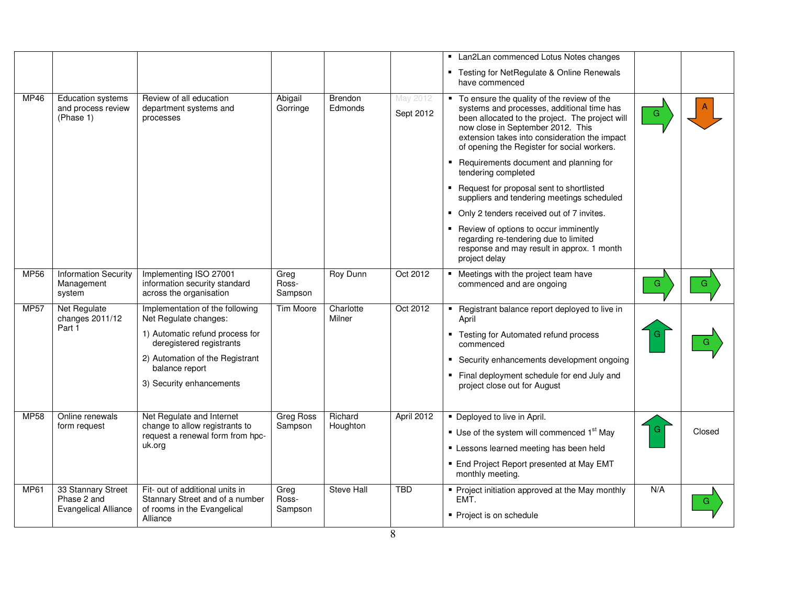|             |                                                                  |                                                                                                                                                                                                          |                             |                           |                       | • Lan2Lan commenced Lotus Notes changes<br>" Testing for NetRegulate & Online Renewals<br>have commenced                                                                                                                                                                                                                                                                                                                                                                                                                                                                                                                                          |             |
|-------------|------------------------------------------------------------------|----------------------------------------------------------------------------------------------------------------------------------------------------------------------------------------------------------|-----------------------------|---------------------------|-----------------------|---------------------------------------------------------------------------------------------------------------------------------------------------------------------------------------------------------------------------------------------------------------------------------------------------------------------------------------------------------------------------------------------------------------------------------------------------------------------------------------------------------------------------------------------------------------------------------------------------------------------------------------------------|-------------|
| MP46        | <b>Education systems</b><br>and process review<br>(Phase 1)      | Review of all education<br>department systems and<br>processes                                                                                                                                           | Abigail<br>Gorringe         | <b>Brendon</b><br>Edmonds | May 2012<br>Sept 2012 | To ensure the quality of the review of the<br>systems and processes, additional time has<br>been allocated to the project. The project will<br>now close in September 2012. This<br>extension takes into consideration the impact<br>of opening the Register for social workers.<br>• Requirements document and planning for<br>tendering completed<br>■ Request for proposal sent to shortlisted<br>suppliers and tendering meetings scheduled<br>• Only 2 tenders received out of 7 invites.<br>■ Review of options to occur imminently<br>regarding re-tendering due to limited<br>response and may result in approx. 1 month<br>project delay | G           |
| <b>MP56</b> | <b>Information Security</b><br>Management<br>system              | Implementing ISO 27001<br>information security standard<br>across the organisation                                                                                                                       | Greg<br>Ross-<br>Sampson    | <b>Roy Dunn</b>           | Oct 2012              | • Meetings with the project team have<br>commenced and are ongoing                                                                                                                                                                                                                                                                                                                                                                                                                                                                                                                                                                                | G<br>G.     |
| <b>MP57</b> | Net Regulate<br>changes 2011/12<br>Part 1                        | Implementation of the following<br>Net Regulate changes:<br>1) Automatic refund process for<br>deregistered registrants<br>2) Automation of the Registrant<br>balance report<br>3) Security enhancements | <b>Tim Moore</b>            | Charlotte<br>Milner       | Oct 2012              | • Registrant balance report deployed to live in<br>April<br>■ Testing for Automated refund process<br>commenced<br>Security enhancements development ongoing<br>Final deployment schedule for end July and<br>project close out for August                                                                                                                                                                                                                                                                                                                                                                                                        |             |
| <b>MP58</b> | Online renewals<br>form request                                  | Net Regulate and Internet<br>change to allow registrants to<br>request a renewal form from hpc-<br>uk.org                                                                                                | <b>Greg Ross</b><br>Sampson | Richard<br>Houghton       | April 2012            | • Deployed to live in April.<br>$\blacksquare$ Use of the system will commenced 1 <sup>st</sup> May<br>Lessons learned meeting has been held<br>■ End Project Report presented at May EMT<br>monthly meeting.                                                                                                                                                                                                                                                                                                                                                                                                                                     | G<br>Closed |
| <b>MP61</b> | 33 Stannary Street<br>Phase 2 and<br><b>Evangelical Alliance</b> | Fit- out of additional units in<br>Stannary Street and of a number<br>of rooms in the Evangelical<br>Alliance                                                                                            | Greg<br>Ross-<br>Sampson    | <b>Steve Hall</b>         | <b>TBD</b>            | • Project initiation approved at the May monthly<br>EMT.<br>• Project is on schedule                                                                                                                                                                                                                                                                                                                                                                                                                                                                                                                                                              | N/A<br>G    |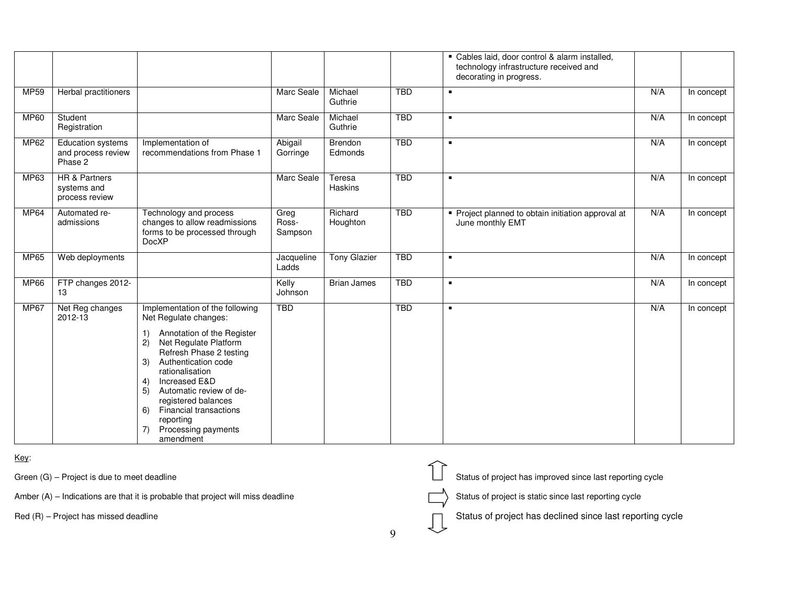|             |                                                           |                                                                                                                                                                                                                                                                                                                                                                                     |                          |                           |            | Cables laid, door control & alarm installed,<br>technology infrastructure received and<br>decorating in progress. |     |            |
|-------------|-----------------------------------------------------------|-------------------------------------------------------------------------------------------------------------------------------------------------------------------------------------------------------------------------------------------------------------------------------------------------------------------------------------------------------------------------------------|--------------------------|---------------------------|------------|-------------------------------------------------------------------------------------------------------------------|-----|------------|
| MP59        | Herbal practitioners                                      |                                                                                                                                                                                                                                                                                                                                                                                     | Marc Seale               | Michael<br>Guthrie        | <b>TBD</b> | $\blacksquare$                                                                                                    | N/A | In concept |
| <b>MP60</b> | Student<br>Registration                                   |                                                                                                                                                                                                                                                                                                                                                                                     | Marc Seale               | Michael<br>Guthrie        | <b>TBD</b> | $\blacksquare$                                                                                                    | N/A | In concept |
| MP62        | Education systems<br>and process review<br>Phase 2        | Implementation of<br>recommendations from Phase 1                                                                                                                                                                                                                                                                                                                                   | Abigail<br>Gorringe      | <b>Brendon</b><br>Edmonds | <b>TBD</b> | $\blacksquare$                                                                                                    | N/A | In concept |
| MP63        | <b>HR &amp; Partners</b><br>systems and<br>process review |                                                                                                                                                                                                                                                                                                                                                                                     | Marc Seale               | Teresa<br>Haskins         | <b>TBD</b> | $\blacksquare$                                                                                                    | N/A | In concept |
| MP64        | Automated re-<br>admissions                               | Technology and process<br>changes to allow readmissions<br>forms to be processed through<br><b>DocXP</b>                                                                                                                                                                                                                                                                            | Greg<br>Ross-<br>Sampson | Richard<br>Houghton       | <b>TBD</b> | Project planned to obtain initiation approval at<br>June monthly EMT                                              | N/A | In concept |
| MP65        | Web deployments                                           |                                                                                                                                                                                                                                                                                                                                                                                     | Jacqueline<br>Ladds      | <b>Tony Glazier</b>       | <b>TBD</b> | $\blacksquare$                                                                                                    | N/A | In concept |
| <b>MP66</b> | FTP changes 2012-<br>13                                   |                                                                                                                                                                                                                                                                                                                                                                                     | Kelly<br>Johnson         | <b>Brian James</b>        | <b>TBD</b> | $\blacksquare$                                                                                                    | N/A | In concept |
| <b>MP67</b> | Net Reg changes<br>2012-13                                | Implementation of the following<br>Net Regulate changes:<br>Annotation of the Register<br>1)<br>Net Regulate Platform<br>2)<br>Refresh Phase 2 testing<br>Authentication code<br>3)<br>rationalisation<br>Increased E&D<br>4)<br>Automatic review of de-<br>5)<br>registered balances<br><b>Financial transactions</b><br>6)<br>reporting<br>Processing payments<br>7)<br>amendment | <b>TBD</b>               |                           | <b>TBD</b> | $\blacksquare$                                                                                                    | N/A | In concept |

Key:

Green (G) – Project is due to meet deadline<br>
Amber (A) – Indications are that it is probable that project will miss deadline<br>
Red (R) – Project has missed deadline<br>
9 Amber  $(A)$  – Indications are that it is probable that project will miss deadline

| Green (G) – Project is due to meet deadline                                       |  | Status of project has improved since last reporting cycle |
|-----------------------------------------------------------------------------------|--|-----------------------------------------------------------|
| Amber $(A)$ – Indications are that it is probable that project will miss deadline |  | Status of project is static since last reporting cycle    |
| $Red(R)$ – Project has missed deadline                                            |  | Status of project has declined since last reporting cycle |
|                                                                                   |  |                                                           |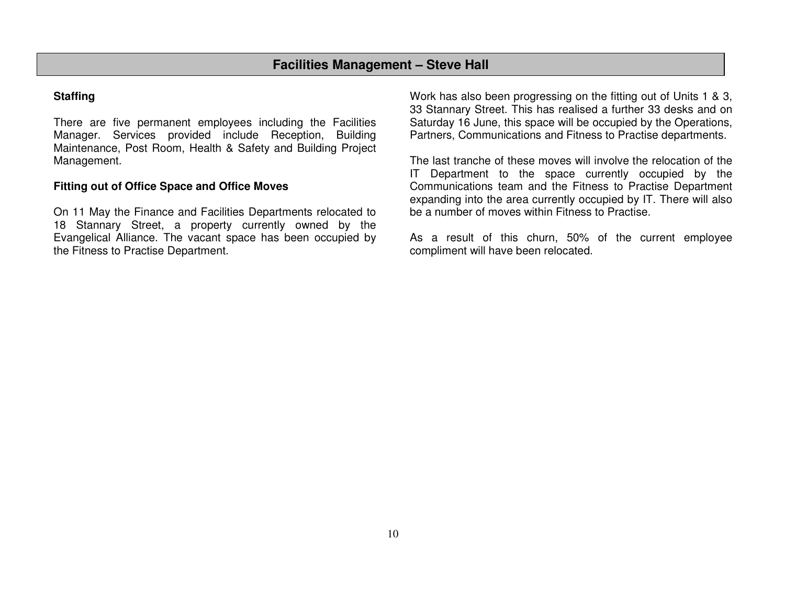## **Staffing**

There are five permanent employees including the Facilities Manager. Services provided include Reception, Building Maintenance, Post Room, Health & Safety and Building Project Management.

## **Fitting out of Office Space and Office Moves**

On 11 May the Finance and Facilities Departments relocated to 18 Stannary Street, a property currently owned by the Evangelical Alliance. The vacant space has been occupied by the Fitness to Practise Department.

Work has also been progressing on the fitting out of Units 1 & 3, 33 Stannary Street. This has realised a further 33 desks and on Saturday 16 June, this space will be occupied by the Operations, Partners, Communications and Fitness to Practise departments.

The last tranche of these moves will involve the relocation of the IT Department to the space currently occupied by the Communications team and the Fitness to Practise Department expanding into the area currently occupied by IT. There will also be a number of moves within Fitness to Practise.

As a result of this churn, 50% of the current employee compliment will have been relocated.